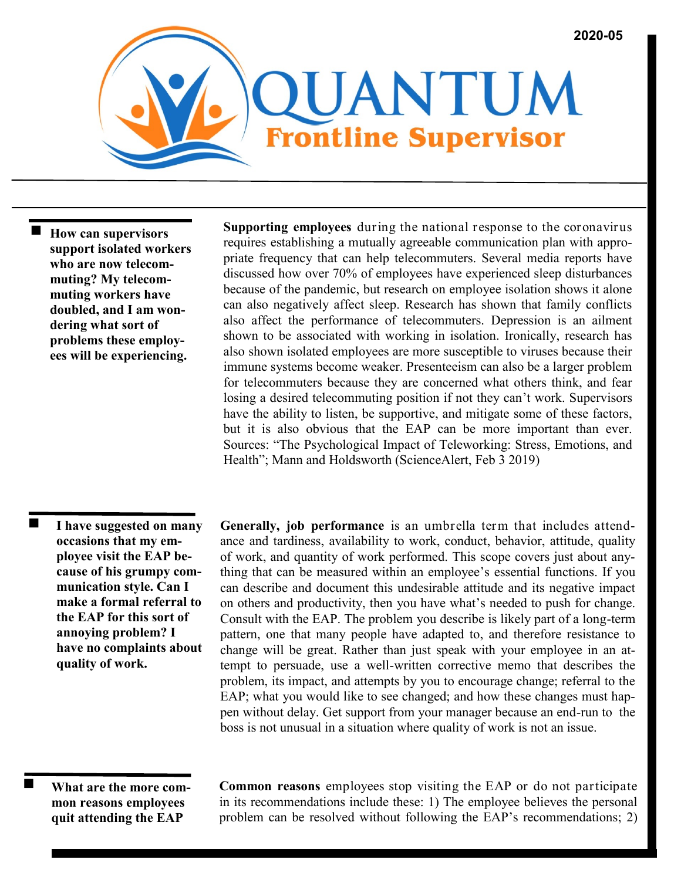

 **How can supervisors support isolated workers who are now telecommuting? My telecommuting workers have doubled, and I am wondering what sort of problems these employees will be experiencing.**

**Supporting employees** during the national response to the coronavirus requires establishing a mutually agreeable communication plan with appropriate frequency that can help telecommuters. Several media reports have discussed how over 70% of employees have experienced sleep disturbances because of the pandemic, but research on employee isolation shows it alone can also negatively affect sleep. Research has shown that family conflicts also affect the performance of telecommuters. Depression is an ailment shown to be associated with working in isolation. Ironically, research has also shown isolated employees are more susceptible to viruses because their immune systems become weaker. Presenteeism can also be a larger problem for telecommuters because they are concerned what others think, and fear losing a desired telecommuting position if not they can't work. Supervisors have the ability to listen, be supportive, and mitigate some of these factors, but it is also obvious that the EAP can be more important than ever. Sources: "The Psychological Impact of Teleworking: Stress, Emotions, and Health"; Mann and Holdsworth (ScienceAlert, Feb 3 2019)

■ **I have suggested on many occasions that my employee visit the EAP because of his grumpy communication style. Can I make a formal referral to the EAP for this sort of annoying problem? I have no complaints about quality of work.**

**Generally, job performance** is an umbrella term that includes attendance and tardiness, availability to work, conduct, behavior, attitude, quality of work, and quantity of work performed. This scope covers just about anything that can be measured within an employee's essential functions. If you can describe and document this undesirable attitude and its negative impact on others and productivity, then you have what's needed to push for change. Consult with the EAP. The problem you describe is likely part of a long-term pattern, one that many people have adapted to, and therefore resistance to change will be great. Rather than just speak with your employee in an attempt to persuade, use a well-written corrective memo that describes the problem, its impact, and attempts by you to encourage change; referral to the EAP; what you would like to see changed; and how these changes must happen without delay. Get support from your manager because an end-run to the boss is not unusual in a situation where quality of work is not an issue.

**What are the more common reasons employees quit attending the EAP** 

**Common reasons** employees stop visiting the EAP or do not participate in its recommendations include these: 1) The employee believes the personal problem can be resolved without following the EAP's recommendations; 2)